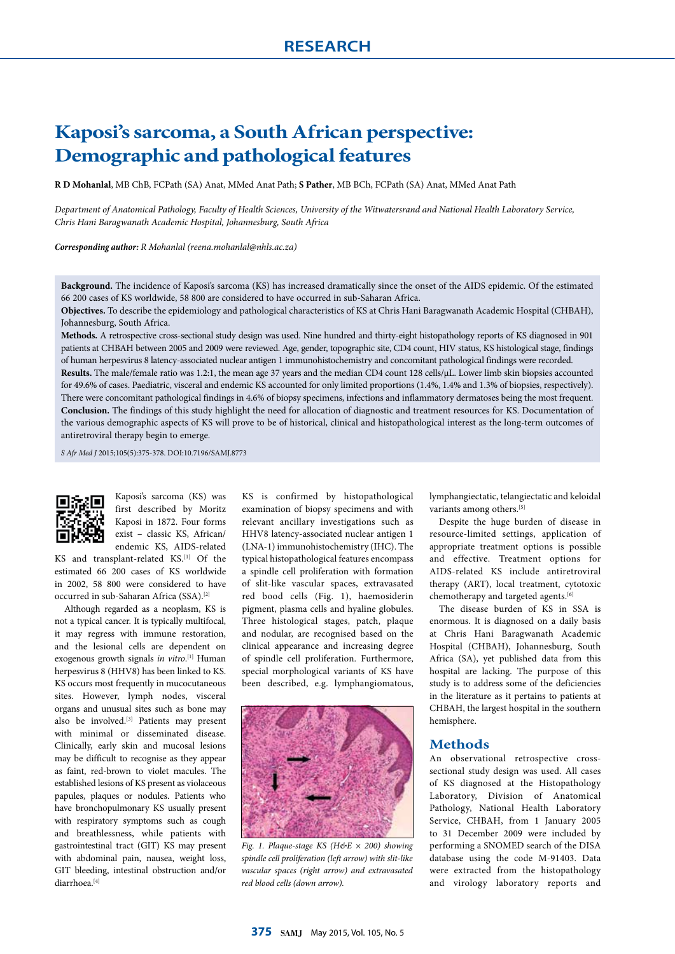# **Kaposi's sarcoma, a South African perspective: Demographic and pathological features**

**R D Mohanlal**, MB ChB, FCPath (SA) Anat, MMed Anat Path; **S Pather**, MB BCh, FCPath (SA) Anat, MMed Anat Path

*Department of Anatomical Pathology, Faculty of Health Sciences, University of the Witwatersrand and National Health Laboratory Service, Chris Hani Baragwanath Academic Hospital, Johannesburg, South Africa*

*Corresponding author: R Mohanlal (reena.mohanlal@nhls.ac.za)*

**Background.** The incidence of Kaposi's sarcoma (KS) has increased dramatically since the onset of the AIDS epidemic. Of the estimated 66 200 cases of KS worldwide, 58 800 are considered to have occurred in sub-Saharan Africa.

**Objectives.** To describe the epidemiology and pathological characteristics of KS at Chris Hani Baragwanath Academic Hospital (CHBAH), Johannesburg, South Africa.

**Methods.** A retrospective cross-sectional study design was used. Nine hundred and thirty-eight histopathology reports of KS diagnosed in 901 patients at CHBAH between 2005 and 2009 were reviewed. Age, gender, topographic site, CD4 count, HIV status, KS histological stage, findings of human herpesvirus 8 latency-associated nuclear antigen 1 immunohistochemistry and concomitant pathological findings were recorded.

**Results.** The male/female ratio was 1.2:1, the mean age 37 years and the median CD4 count 128 cells/µL. Lower limb skin biopsies accounted for 49.6% of cases. Paediatric, visceral and endemic KS accounted for only limited proportions (1.4%, 1.4% and 1.3% of biopsies, respectively). There were concomitant pathological findings in 4.6% of biopsy specimens, infections and inflammatory dermatoses being the most frequent. **Conclusion.** The findings of this study highlight the need for allocation of diagnostic and treatment resources for KS. Documentation of the various demographic aspects of KS will prove to be of historical, clinical and histopathological interest as the long-term outcomes of antiretroviral therapy begin to emerge.

*S Afr Med J* 2015;105(5):375-378. DOI:10.7196/SAMJ.8773



Kaposi's sarcoma (KS) was first described by Moritz Kaposi in 1872. Four forms exist – classic KS, African/ endemic KS, AIDS-related

KS and transplant-related KS.<sup>[1]</sup> Of the estimated 66 200 cases of KS worldwide in 2002, 58 800 were considered to have occurred in sub-Saharan Africa (SSA).[2]

Although regarded as a neoplasm, KS is not a typical cancer. It is typically multifocal, it may regress with immune restoration, and the lesional cells are dependent on exogenous growth signals *in vitro*. [1] Human herpesvirus 8 (HHV8) has been linked to KS. KS occurs most frequently in mucocutaneous sites. However, lymph nodes, visceral organs and unusual sites such as bone may also be involved.[3] Patients may present with minimal or disseminated disease. Clinically, early skin and mucosal lesions may be difficult to recognise as they appear as faint, red-brown to violet macules. The established lesions of KS present as violaceous papules, plaques or nodules. Patients who have bronchopulmonary KS usually present with respiratory symptoms such as cough and breathlessness, while patients with gastrointestinal tract (GIT) KS may present with abdominal pain, nausea, weight loss, GIT bleeding, intestinal obstruction and/or diarrhoea.[4]

KS is confirmed by histopathological examination of biopsy specimens and with relevant ancillary investigations such as HHV8 latency-associated nuclear antigen 1 (LNA-1) immunohistochemistry (IHC). The typical histopathological features encompass a spindle cell proliferation with formation of slit-like vascular spaces, extravasated red bood cells (Fig. 1), haemosiderin pigment, plasma cells and hyaline globules. Three histological stages, patch, plaque and nodular, are recognised based on the clinical appearance and increasing degree of spindle cell proliferation. Furthermore, special morphological variants of KS have been described, e.g. lymphangiomatous,



*Fig. 1. Plaque-stage KS (H&E × 200) showing spindle cell proliferation (left arrow) with slit-like vascular spaces (right arrow) and extravasated red blood cells (down arrow).*

lymphangiectatic, telangiectatic and keloidal variants among others.<sup>[5]</sup>

Despite the huge burden of disease in resource-limited settings, application of appropriate treatment options is possible and effective. Treatment options for AIDS-related KS include antiretroviral therapy (ART), local treatment, cytotoxic chemotherapy and targeted agents.<sup>[6]</sup>

The disease burden of KS in SSA is enormous. It is diagnosed on a daily basis at Chris Hani Baragwanath Academic Hospital (CHBAH), Johannesburg, South Africa (SA), yet published data from this hospital are lacking. The purpose of this study is to address some of the deficiencies in the literature as it pertains to patients at CHBAH, the largest hospital in the southern hemisphere.

## **Methods**

An observational retrospective crosssectional study design was used. All cases of KS diagnosed at the Histopathology Laboratory, Division of Anatomical Pathology, National Health Laboratory Service, CHBAH, from 1 January 2005 to 31 December 2009 were included by performing a SNOMED search of the DISA database using the code M-91403. Data were extracted from the histopathology and virology laboratory reports and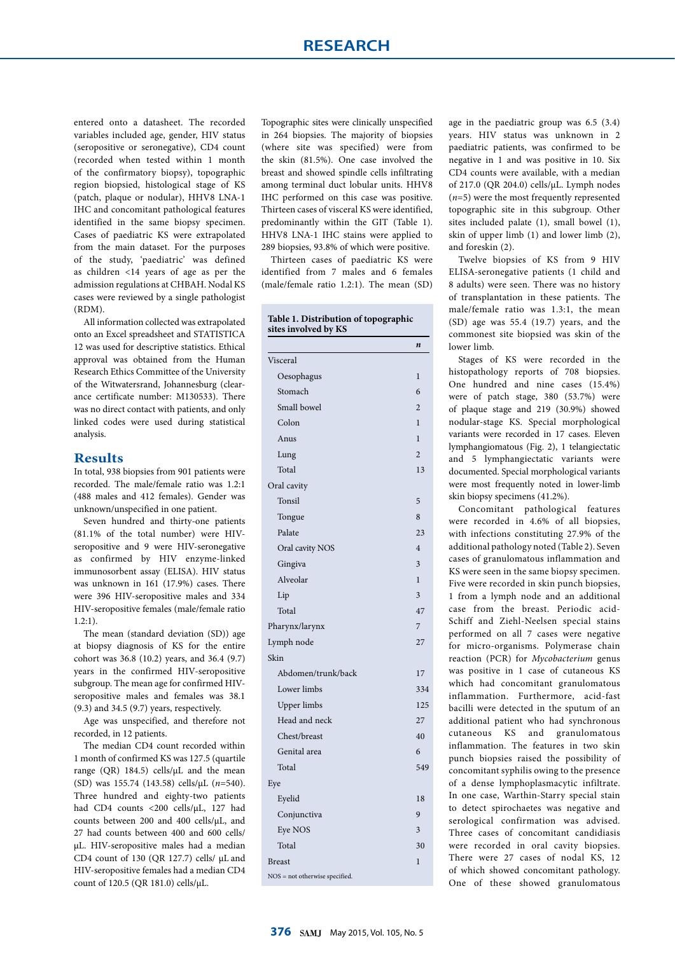entered onto a datasheet. The recorded variables included age, gender, HIV status (seropositive or seronegative), CD4 count (recorded when tested within 1 month of the confirmatory biopsy), topographic region biopsied, histological stage of KS (patch, plaque or nodular), HHV8 LNA-1 IHC and concomitant pathological features identified in the same biopsy specimen. Cases of paediatric KS were extrapolated from the main dataset. For the purposes of the study, 'paediatric' was defined as children <14 years of age as per the admission regulations at CHBAH. Nodal KS cases were reviewed by a single pathologist (RDM).

All information collected was extrapolated onto an Excel spreadsheet and STATISTICA 12 was used for descriptive statistics. Ethical approval was obtained from the Human Research Ethics Committee of the University of the Witwatersrand, Johannesburg (clearance certificate number: M130533). There was no direct contact with patients, and only linked codes were used during statistical analysis.

### **Results**

In total, 938 biopsies from 901 patients were recorded. The male/female ratio was 1.2:1 (488 males and 412 females). Gender was unknown/unspecified in one patient.

Seven hundred and thirty-one patients (81.1% of the total number) were HIVseropositive and 9 were HIV-seronegative as confirmed by HIV enzyme-linked immunosorbent assay (ELISA). HIV status was unknown in 161 (17.9%) cases. There were 396 HIV-seropositive males and 334 HIV-seropositive females (male/female ratio 1.2:1).

The mean (standard deviation (SD)) age at biopsy diagnosis of KS for the entire cohort was 36.8 (10.2) years, and 36.4 (9.7) years in the confirmed HIV-seropositive subgroup. The mean age for confirmed HIVseropositive males and females was 38.1 (9.3) and 34.5 (9.7) years, respectively.

Age was unspecified, and therefore not recorded, in 12 patients.

The median CD4 count recorded within 1 month of confirmed KS was 127.5 (quartile range (QR) 184.5) cells/ $\mu$ L and the mean (SD) was 155.74 (143.58) cells/µL (*n*=540). Three hundred and eighty-two patients had CD4 counts <200 cells/µL, 127 had counts between 200 and 400 cells/µL, and 27 had counts between 400 and 600 cells/ µL. HIV-seropositive males had a median CD4 count of 130 (QR 127.7) cells/ µL and HIV-seropositive females had a median CD4 count of 120.5 (QR 181.0) cells/µL.

Topographic sites were clinically unspecified in 264 biopsies. The majority of biopsies (where site was specified) were from the skin (81.5%). One case involved the breast and showed spindle cells infiltrating among terminal duct lobular units. HHV8 IHC performed on this case was positive. Thirteen cases of visceral KS were identified, predominantly within the GIT (Table 1). HHV8 LNA-1 IHC stains were applied to 289 biopsies, 93.8% of which were positive.

Thirteen cases of paediatric KS were identified from 7 males and 6 females (male/female ratio 1.2:1). The mean (SD)

|                                | n              |
|--------------------------------|----------------|
| Visceral                       |                |
| Oesophagus                     | $\mathbf{1}$   |
| Stomach                        | 6              |
| Small bowel                    | $\overline{2}$ |
| Colon                          | $\mathbf{1}$   |
| Anus                           | $\mathbf{1}$   |
| Lung                           | $\overline{2}$ |
| Total                          | 13             |
| Oral cavity                    |                |
| Tonsil                         | 5              |
| Tongue                         | 8              |
| Palate                         | 23             |
| Oral cavity NOS                | $\overline{4}$ |
| Gingiva                        | 3              |
| Alveolar                       | $\mathbf{1}$   |
| Lip                            | 3              |
| Total                          | 47             |
| Pharynx/larynx                 | 7              |
| Lymph node                     | 27             |
| Skin                           |                |
| Abdomen/trunk/back             | 17             |
| Lower limbs                    | 334            |
| <b>Upper</b> limbs             | 125            |
| Head and neck                  | 27             |
| Chest/breast                   | 40             |
| Genital area                   | 6              |
| Total                          | 549            |
| Eye                            |                |
| Eyelid                         | 18             |
| Conjunctiva                    | 9              |
| Eye NOS                        | 3              |
| Total                          | 30             |
| <b>Breast</b>                  | $\mathbf{1}$   |
| NOS = not otherwise specified. |                |

age in the paediatric group was 6.5 (3.4) years. HIV status was unknown in 2 paediatric patients, was confirmed to be negative in 1 and was positive in 10. Six CD4 counts were available, with a median of 217.0 (QR 204.0) cells/µL. Lymph nodes (*n*=5) were the most frequently represented topographic site in this subgroup. Other sites included palate (1), small bowel (1), skin of upper limb (1) and lower limb (2), and foreskin (2).

Twelve biopsies of KS from 9 HIV ELISA-seronegative patients (1 child and 8 adults) were seen. There was no history of transplantation in these patients. The male/female ratio was 1.3:1, the mean (SD) age was 55.4 (19.7) years, and the commonest site biopsied was skin of the lower limb.

Stages of KS were recorded in the histopathology reports of 708 biopsies. One hundred and nine cases (15.4%) were of patch stage, 380 (53.7%) were of plaque stage and 219 (30.9%) showed nodular-stage KS. Special morphological variants were recorded in 17 cases. Eleven lymphangiomatous (Fig. 2), 1 telangiectatic and 5 lymphangiectatic variants were documented. Special morphological variants were most frequently noted in lower-limb skin biopsy specimens (41.2%).

Concomitant pathological features were recorded in 4.6% of all biopsies, with infections constituting 27.9% of the additional pathology noted (Table 2). Seven cases of granulomatous inflammation and KS were seen in the same biopsy specimen. Five were recorded in skin punch biopsies, 1 from a lymph node and an additional case from the breast. Periodic acid-Schiff and Ziehl-Neelsen special stains performed on all 7 cases were negative for micro-organisms. Polymerase chain reaction (PCR) for *Mycobacterium* genus was positive in 1 case of cutaneous KS which had concomitant granulomatous inflammation. Furthermore, acid-fast bacilli were detected in the sputum of an additional patient who had synchronous cutaneous KS and granulomatous inflammation. The features in two skin punch biopsies raised the possibility of concomitant syphilis owing to the presence of a dense lymphoplasmacytic infiltrate. In one case, Warthin-Starry special stain to detect spirochaetes was negative and serological confirmation was advised. Three cases of concomitant candidiasis were recorded in oral cavity biopsies. There were 27 cases of nodal KS, 12 of which showed concomitant pathology. One of these showed granulomatous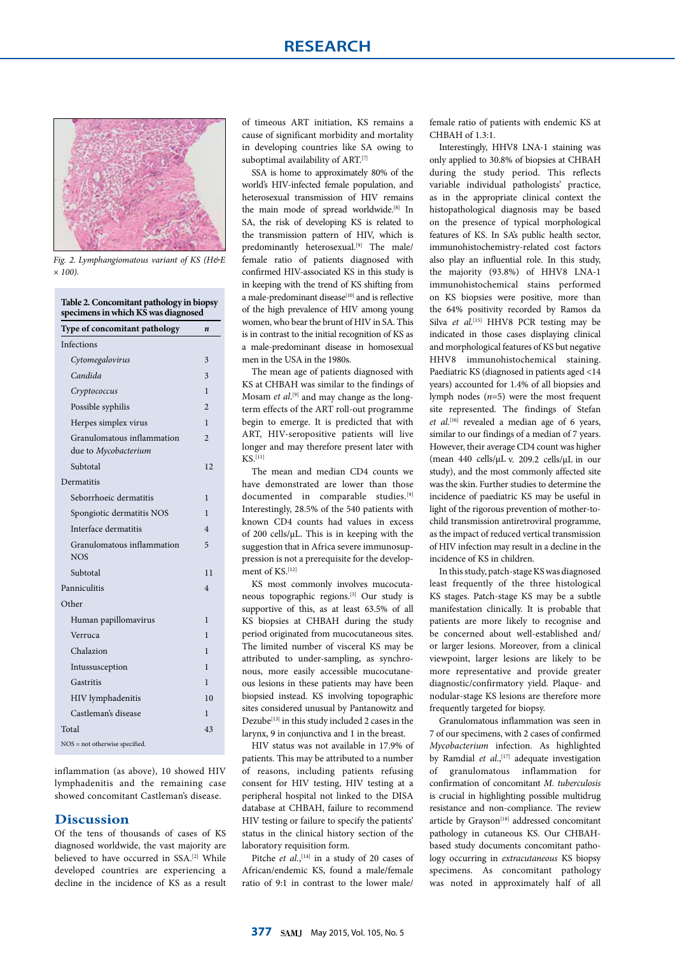

*Fig. 2. Lymphangiomatous variant of KS (H&E × 100).*

| Type of concomitant pathology                      | n                       |
|----------------------------------------------------|-------------------------|
| <b>Infections</b>                                  |                         |
| Cytomegalovirus                                    | 3                       |
| Candida                                            | 3                       |
| Cryptococcus                                       | 1                       |
| Possible syphilis                                  | $\mathfrak{D}$          |
| Herpes simplex virus                               | $\mathbf{1}$            |
| Granulomatous inflammation<br>due to Mycobacterium | $\overline{2}$          |
| Subtotal                                           | 12                      |
| Dermatitis                                         |                         |
| Seborrhoeic dermatitis                             | 1                       |
| Spongiotic dermatitis NOS                          | 1                       |
| Interface dermatitis                               | $\overline{\mathbf{4}}$ |
| Granulomatous inflammation<br><b>NOS</b>           | 5                       |
| Subtotal                                           | 11                      |
| Panniculitis                                       | $\overline{\mathbf{4}}$ |
| Other                                              |                         |
| Human papillomavirus                               | 1                       |
| Verruca                                            | 1                       |
| Chalazion                                          | 1                       |
| Intussusception                                    | 1                       |
| Gastritis                                          | 1                       |
| HIV lymphadenitis                                  | 10                      |
| Castleman's disease                                | 1                       |
| Total                                              | 43                      |
| $NOS = not otherwise specified.$                   |                         |

inflammation (as above), 10 showed HIV lymphadenitis and the remaining case showed concomitant Castleman's disease.

#### **Discussion**

Of the tens of thousands of cases of KS diagnosed worldwide, the vast majority are believed to have occurred in SSA.<sup>[2]</sup> While developed countries are experiencing a decline in the incidence of KS as a result

of timeous ART initiation, KS remains a cause of significant morbidity and mortality in developing countries like SA owing to suboptimal availability of ART.<sup>[7]</sup>

SSA is home to approximately 80% of the world's HIV-infected female population, and heterosexual transmission of HIV remains the main mode of spread worldwide.[8] In SA, the risk of developing KS is related to the transmission pattern of HIV, which is predominantly heterosexual.<sup>[9]</sup> The male/ female ratio of patients diagnosed with confirmed HIV-associated KS in this study is in keeping with the trend of KS shifting from a male-predominant disease<sup>[10]</sup> and is reflective of the high prevalence of HIV among young women, who bear the brunt of HIV in SA. This is in contrast to the initial recognition of KS as a male-predominant disease in homosexual men in the USA in the 1980s.

The mean age of patients diagnosed with KS at CHBAH was similar to the findings of Mosam *et al.*<sup>[9]</sup> and may change as the longterm effects of the ART roll-out programme begin to emerge. It is predicted that with ART, HIV-seropositive patients will live longer and may therefore present later with KS.[11]

The mean and median CD4 counts we have demonstrated are lower than those documented in comparable studies.<sup>[9]</sup> Interestingly, 28.5% of the 540 patients with known CD4 counts had values in excess of 200 cells/µL. This is in keeping with the suggestion that in Africa severe immunosuppression is not a prerequisite for the development of  $KS$ <sup>[12]</sup>

KS most commonly involves mucocutaneous topographic regions.[3] Our study is supportive of this, as at least 63.5% of all KS biopsies at CHBAH during the study period originated from mucocutaneous sites. The limited number of visceral KS may be attributed to under-sampling, as synchronous, more easily accessible mucocutaneous lesions in these patients may have been biopsied instead. KS involving topographic sites considered unusual by Pantanowitz and Dezube<sup>[13]</sup> in this study included 2 cases in the larynx, 9 in conjunctiva and 1 in the breast.

HIV status was not available in 17.9% of patients. This may be attributed to a number of reasons, including patients refusing consent for HIV testing, HIV testing at a peripheral hospital not linked to the DISA database at CHBAH, failure to recommend HIV testing or failure to specify the patients' status in the clinical history section of the laboratory requisition form.

Pitche *et al.*,<sup>[14]</sup> in a study of 20 cases of African/endemic KS, found a male/female ratio of 9:1 in contrast to the lower male/

female ratio of patients with endemic KS at CHBAH of 1.3:1.

Interestingly, HHV8 LNA-1 staining was only applied to 30.8% of biopsies at CHBAH during the study period. This reflects variable individual pathologists' practice, as in the appropriate clinical context the histopathological diagnosis may be based on the presence of typical morphological features of KS. In SA's public health sector, immunohistochemistry-related cost factors also play an influential role. In this study, the majority (93.8%) of HHV8 LNA-1 immunohistochemical stains performed on KS biopsies were positive, more than the 64% positivity recorded by Ramos da Silva *et al.*<sup>[15]</sup> HHV8 PCR testing may be indicated in those cases displaying clinical and morphological features of KS but negative HHV8 immunohistochemical staining. Paediatric KS (diagnosed in patients aged <14 years) accounted for 1.4% of all biopsies and lymph nodes (*n*=5) were the most frequent site represented. The findings of Stefan *et al.*[16] revealed a median age of 6 years, similar to our findings of a median of 7 years. However, their average CD4 count was higher (mean 440 cells/µL v. 209.2 cells/µL in our study), and the most commonly affected site was the skin. Further studies to determine the incidence of paediatric KS may be useful in light of the rigorous prevention of mother-tochild transmission antiretroviral programme, as the impact of reduced vertical transmission of HIV infection may result in a decline in the incidence of KS in children.

In this study, patch-stage KS was diagnosed least frequently of the three histological KS stages. Patch-stage KS may be a subtle manifestation clinically. It is probable that patients are more likely to recognise and be concerned about well-established and/ or larger lesions. Moreover, from a clinical viewpoint, larger lesions are likely to be more representative and provide greater diagnostic/confirmatory yield. Plaque- and nodular-stage KS lesions are therefore more frequently targeted for biopsy.

Granulomatous inflammation was seen in 7 of our specimens, with 2 cases of confirmed *Mycobacterium* infection. As highlighted by Ramdial *et al.*,<sup>[17]</sup> adequate investigation of granulomatous inflammation for confirmation of concomitant *M. tuberculosis*  is crucial in highlighting possible multidrug resistance and non-compliance. The review article by Grayson<sup>[18]</sup> addressed concomitant pathology in cutaneous KS. Our CHBAHbased study documents concomitant pathology occurring in *extracutaneous* KS biopsy specimens. As concomitant pathology was noted in approximately half of all